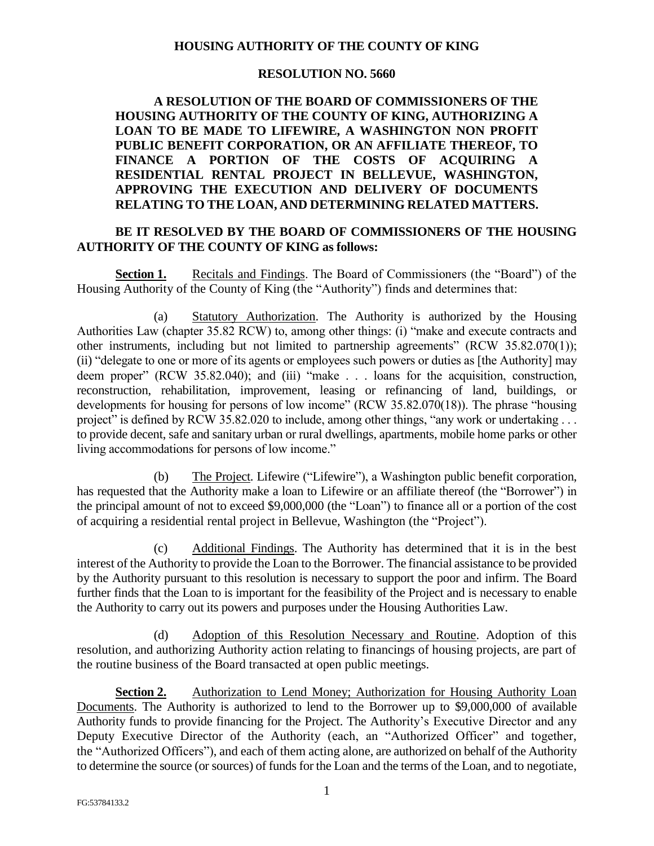## **HOUSING AUTHORITY OF THE COUNTY OF KING**

## **RESOLUTION NO. 5660**

**A RESOLUTION OF THE BOARD OF COMMISSIONERS OF THE HOUSING AUTHORITY OF THE COUNTY OF KING, AUTHORIZING A LOAN TO BE MADE TO LIFEWIRE, A WASHINGTON NON PROFIT PUBLIC BENEFIT CORPORATION, OR AN AFFILIATE THEREOF, TO FINANCE A PORTION OF THE COSTS OF ACQUIRING A RESIDENTIAL RENTAL PROJECT IN BELLEVUE, WASHINGTON, APPROVING THE EXECUTION AND DELIVERY OF DOCUMENTS RELATING TO THE LOAN, AND DETERMINING RELATED MATTERS.**

## **BE IT RESOLVED BY THE BOARD OF COMMISSIONERS OF THE HOUSING AUTHORITY OF THE COUNTY OF KING as follows:**

**Section 1.** Recitals and Findings. The Board of Commissioners (the "Board") of the Housing Authority of the County of King (the "Authority") finds and determines that:

(a) Statutory Authorization. The Authority is authorized by the Housing Authorities Law (chapter 35.82 RCW) to, among other things: (i) "make and execute contracts and other instruments, including but not limited to partnership agreements" (RCW 35.82.070(1)); (ii) "delegate to one or more of its agents or employees such powers or duties as [the Authority] may deem proper" (RCW 35.82.040); and (iii) "make . . . loans for the acquisition, construction, reconstruction, rehabilitation, improvement, leasing or refinancing of land, buildings, or developments for housing for persons of low income" (RCW 35.82.070(18)). The phrase "housing project" is defined by RCW 35.82.020 to include, among other things, "any work or undertaking ... to provide decent, safe and sanitary urban or rural dwellings, apartments, mobile home parks or other living accommodations for persons of low income."

(b) The Project. Lifewire ("Lifewire"), a Washington public benefit corporation, has requested that the Authority make a loan to Lifewire or an affiliate thereof (the "Borrower") in the principal amount of not to exceed \$9,000,000 (the "Loan") to finance all or a portion of the cost of acquiring a residential rental project in Bellevue, Washington (the "Project").

(c) Additional Findings. The Authority has determined that it is in the best interest of the Authority to provide the Loan to the Borrower. The financial assistance to be provided by the Authority pursuant to this resolution is necessary to support the poor and infirm. The Board further finds that the Loan to is important for the feasibility of the Project and is necessary to enable the Authority to carry out its powers and purposes under the Housing Authorities Law.

(d) Adoption of this Resolution Necessary and Routine. Adoption of this resolution, and authorizing Authority action relating to financings of housing projects, are part of the routine business of the Board transacted at open public meetings.

**Section 2.** Authorization to Lend Money; Authorization for Housing Authority Loan Documents. The Authority is authorized to lend to the Borrower up to \$9,000,000 of available Authority funds to provide financing for the Project. The Authority's Executive Director and any Deputy Executive Director of the Authority (each, an "Authorized Officer" and together, the "Authorized Officers"), and each of them acting alone, are authorized on behalf of the Authority to determine the source (or sources) of funds for the Loan and the terms of the Loan, and to negotiate,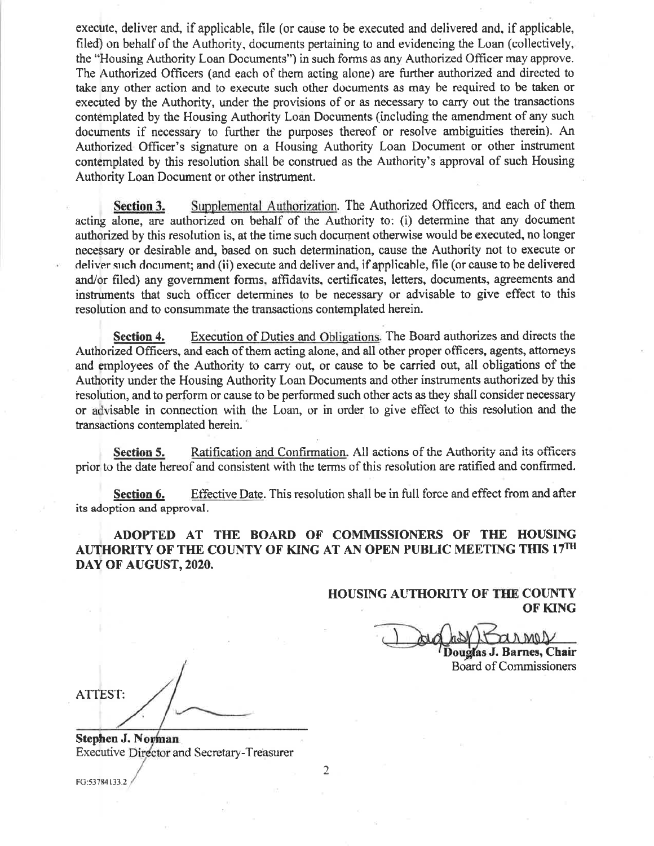execute, deliver and, if applicable, file (or cause to be executed and delivered and, if applicable, filed) on behalf of the Authority, documents pertaining to and evidencing the Loan (collectively, the "Housing Authority Loan Documents") in such forms as any Authorized Officer may approve. The Authorized Officers (and each of them acting alone) are further authorized and directed to take any other action and to execute such other documents as may be required to be taken or executed by the Authority, under the provisions of or as necessary to carry out the transactions contemplated by the Housing Authority Loan Documents (including the amendment of any such documents if necessary to further the purposes thereof or resolve ambiguities therein). An Authorized Officer's signature on a Housing Authority Loan Document or other instrument contemplated by this resolution shall be construed as the Authority's approval of such Housing Authority Loan Document or other instrument.

Supplemental Authorization. The Authorized Officers, and each of them Section 3. acting alone, are authorized on behalf of the Authority to: (i) determine that any document authorized by this resolution is, at the time such document otherwise would be executed, no longer necessary or desirable and, based on such determination, cause the Authority not to execute or deliver such document; and (ii) execute and deliver and, if applicable, file (or cause to be delivered and/or filed) any government forms, affidavits, certificates, letters, documents, agreements and instruments that such officer determines to be necessary or advisable to give effect to this resolution and to consummate the transactions contemplated herein.

Execution of Duties and Obligations. The Board authorizes and directs the Section 4. Authorized Officers, and each of them acting alone, and all other proper officers, agents, attorneys and employees of the Authority to carry out, or cause to be carried out, all obligations of the Authority under the Housing Authority Loan Documents and other instruments authorized by this resolution, and to perform or cause to be performed such other acts as they shall consider necessary or advisable in connection with the Loan, or in order to give effect to this resolution and the transactions contemplated herein.

Ratification and Confirmation. All actions of the Authority and its officers Section 5. prior to the date hereof and consistent with the terms of this resolution are ratified and confirmed.

Effective Date. This resolution shall be in full force and effect from and after Section 6. its adoption and approval.

ADOPTED AT THE BOARD OF COMMISSIONERS OF THE HOUSING AUTHORITY OF THE COUNTY OF KING AT AN OPEN PUBLIC MEETING THIS 17TH DAY OF AUGUST, 2020.

> **HOUSING AUTHORITY OF THE COUNTY** OF KING

Douglas J. Barnes, Chair

**Board of Commissioners** 

**ATTEST:** 

Stephen J. Norman **Executive Director and Secretary-Treasurer** 

FG:53784133.2

 $\overline{2}$